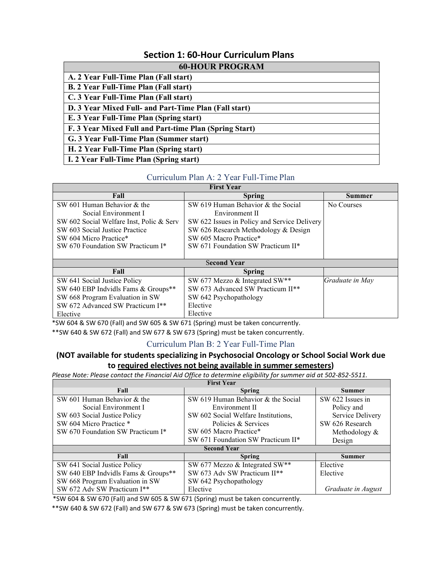# **Section 1: 60-Hour Curriculum Plans**

| <b>60-HOUR PROGRAM</b>                                 |  |  |
|--------------------------------------------------------|--|--|
| A. 2 Year Full-Time Plan (Fall start)                  |  |  |
| <b>B. 2 Year Full-Time Plan (Fall start)</b>           |  |  |
| C. 3 Year Full-Time Plan (Fall start)                  |  |  |
| D. 3 Year Mixed Full- and Part-Time Plan (Fall start)  |  |  |
| E. 3 Year Full-Time Plan (Spring start)                |  |  |
| F. 3 Year Mixed Full and Part-time Plan (Spring Start) |  |  |
| G. 3 Year Full-Time Plan (Summer start)                |  |  |
| H. 2 Year Full-Time Plan (Spring start)                |  |  |
| I. 2 Year Full-Time Plan (Spring start)                |  |  |

### Curriculum Plan A: 2 Year Full-Time Plan

| <b>First Year</b>                        |                                              |                 |  |
|------------------------------------------|----------------------------------------------|-----------------|--|
| Fall                                     | <b>Spring</b>                                | <b>Summer</b>   |  |
| SW 601 Human Behavior & the              | SW 619 Human Behavior & the Social           | No Courses      |  |
| Social Environment I                     | Environment II                               |                 |  |
| SW 602 Social Welfare Inst, Polic & Serv | SW 622 Issues in Policy and Service Delivery |                 |  |
| SW 603 Social Justice Practice           | SW 626 Research Methodology & Design         |                 |  |
| SW 604 Micro Practice*                   | SW 605 Macro Practice*                       |                 |  |
| SW 670 Foundation SW Practicum I*        | SW 671 Foundation SW Practicum II*           |                 |  |
|                                          |                                              |                 |  |
| <b>Second Year</b>                       |                                              |                 |  |
| Fall                                     | <b>Spring</b>                                |                 |  |
| SW 641 Social Justice Policy             | SW 677 Mezzo & Integrated SW**               | Graduate in May |  |
| SW 640 EBP Indvidls Fams & Groups**      | SW 673 Advanced SW Practicum II**            |                 |  |
| SW 668 Program Evaluation in SW          | SW 642 Psychopathology                       |                 |  |
| SW 672 Advanced SW Practicum I**         | Elective                                     |                 |  |
| Elective                                 | Elective                                     |                 |  |

\*SW 604 & SW 670 (Fall) and SW 605 & SW 671 (Spring) must be taken concurrently.

\*\*SW 640 & SW 672 (Fall) and SW 677 & SW 673 (Spring) must be taken concurrently.

#### Curriculum Plan B: 2 Year Full-Time Plan

### **(NOT available for students specializing in Psychosocial Oncology or School Social Work due to required electives not being available in summer semesters)**

*Please Note: Please contact the Financial Aid Office to determine eligibility for summer aid at 502-852-5511.*

| <b>First Year</b>                   |                                     |                    |  |
|-------------------------------------|-------------------------------------|--------------------|--|
| Fall                                | <b>Spring</b>                       | <b>Summer</b>      |  |
| SW 601 Human Behavior & the         | SW 619 Human Behavior & the Social  | SW 622 Issues in   |  |
| Social Environment I                | Environment II                      | Policy and         |  |
| SW 603 Social Justice Policy        | SW 602 Social Welfare Institutions, | Service Delivery   |  |
| SW 604 Micro Practice *             | Policies & Services                 | SW 626 Research    |  |
| SW 670 Foundation SW Practicum I*   | SW 605 Macro Practice*              | Methodology $\&$   |  |
|                                     | SW 671 Foundation SW Practicum II*  | Design             |  |
| <b>Second Year</b>                  |                                     |                    |  |
| Fall                                | <b>Spring</b>                       | <b>Summer</b>      |  |
| SW 641 Social Justice Policy        | SW 677 Mezzo & Integrated SW**      | Elective           |  |
| SW 640 EBP Indvidls Fams & Groups** | SW 673 Adv SW Practicum II**        | Elective           |  |
| SW 668 Program Evaluation in SW     | SW 642 Psychopathology              |                    |  |
| SW 672 Adv SW Practicum I**         | Elective                            | Graduate in August |  |

\*SW 604 & SW 670 (Fall) and SW 605 & SW 671 (Spring) must be taken concurrently.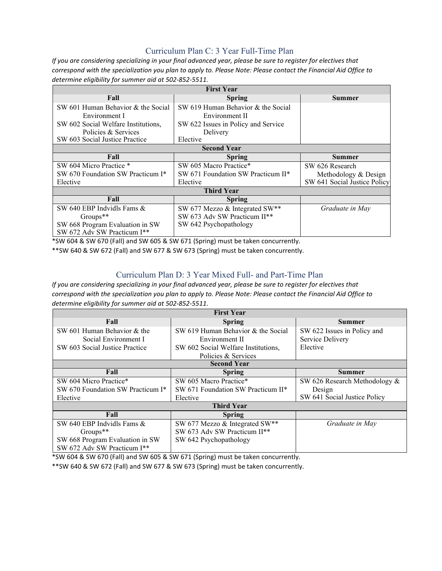## Curriculum Plan C: 3 Year Full-Time Plan

*If you are considering specializing in your final advanced year, please be sure to register for electives that correspond with the specialization you plan to apply to. Please Note: Please contact the Financial Aid Office to determine eligibility for summer aid at 502-852-5511.*

| <b>First Year</b>                   |                                     |                              |
|-------------------------------------|-------------------------------------|------------------------------|
| Fall                                | <b>Spring</b>                       | Summer                       |
| SW 601 Human Behavior & the Social  | SW 619 Human Behavior & the Social  |                              |
| Environment I                       | Environment II                      |                              |
| SW 602 Social Welfare Institutions, | SW 622 Issues in Policy and Service |                              |
| Policies & Services                 | Delivery                            |                              |
| SW 603 Social Justice Practice      | Elective                            |                              |
| <b>Second Year</b>                  |                                     |                              |
| Fall                                | Spring                              | <b>Summer</b>                |
| SW 604 Micro Practice *             | SW 605 Macro Practice*              | SW 626 Research              |
| SW 670 Foundation SW Practicum I*   | SW 671 Foundation SW Practicum II*  | Methodology & Design         |
| Elective                            | Elective                            | SW 641 Social Justice Policy |
| <b>Third Year</b>                   |                                     |                              |
| Fall                                | <b>Spring</b>                       |                              |
| SW 640 EBP Indvidls Fams &          | SW 677 Mezzo & Integrated SW**      | Graduate in May              |
| $Groups**$                          | SW 673 Adv SW Practicum II**        |                              |
| SW 668 Program Evaluation in SW     | SW 642 Psychopathology              |                              |
| SW 672 Adv SW Practicum I**         |                                     |                              |

\*SW 604 & SW 670 (Fall) and SW 605 & SW 671 (Spring) must be taken concurrently.

\*\*SW 640 & SW 672 (Fall) and SW 677 & SW 673 (Spring) must be taken concurrently.

## Curriculum Plan D: 3 Year Mixed Full- and Part-Time Plan

*If you are considering specializing in your final advanced year, please be sure to register for electives that correspond with the specialization you plan to apply to. Please Note: Please contact the Financial Aid Office to determine eligibility for summer aid at 502-852-5511.*

| <b>First Year</b>                 |                                     |                               |
|-----------------------------------|-------------------------------------|-------------------------------|
| Fall                              | <b>Spring</b>                       | Summer                        |
| SW 601 Human Behavior & the       | SW 619 Human Behavior & the Social  | SW 622 Issues in Policy and   |
| Social Environment I              | Environment II                      | Service Delivery              |
| SW 603 Social Justice Practice    | SW 602 Social Welfare Institutions, | Elective                      |
|                                   | Policies & Services                 |                               |
| <b>Second Year</b>                |                                     |                               |
| Fall                              | <b>Spring</b>                       | <b>Summer</b>                 |
| SW 604 Micro Practice*            | SW 605 Macro Practice*              | SW 626 Research Methodology & |
| SW 670 Foundation SW Practicum I* | SW 671 Foundation SW Practicum II*  | Design                        |
| Elective                          | Elective                            | SW 641 Social Justice Policy  |
| <b>Third Year</b>                 |                                     |                               |
| Fall                              | <b>Spring</b>                       |                               |
| SW 640 EBP Indvidls Fams &        | SW 677 Mezzo & Integrated SW**      | Graduate in May               |
| $Groups**$                        | SW 673 Adv SW Practicum II**        |                               |
| SW 668 Program Evaluation in SW   | SW 642 Psychopathology              |                               |
| SW 672 Adv SW Practicum I**       |                                     |                               |

\*SW 604 & SW 670 (Fall) and SW 605 & SW 671 (Spring) must be taken concurrently.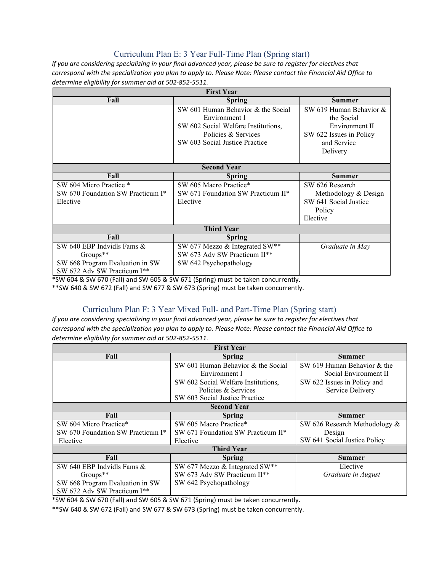## Curriculum Plan E: 3 Year Full-Time Plan (Spring start)

*If you are considering specializing in your final advanced year, please be sure to register for electives that correspond with the specialization you plan to apply to. Please Note: Please contact the Financial Aid Office to determine eligibility for summer aid at 502-852-5511.*

| <b>First Year</b>                 |                                     |                         |  |
|-----------------------------------|-------------------------------------|-------------------------|--|
| Fall                              | Spring                              | <b>Summer</b>           |  |
|                                   | SW 601 Human Behavior & the Social  | SW 619 Human Behavior & |  |
|                                   | Environment I                       | the Social              |  |
|                                   | SW 602 Social Welfare Institutions, | Environment II          |  |
|                                   | Policies & Services                 | SW 622 Issues in Policy |  |
|                                   | SW 603 Social Justice Practice      | and Service             |  |
|                                   |                                     | Delivery                |  |
|                                   |                                     |                         |  |
| <b>Second Year</b>                |                                     |                         |  |
| Fall                              | <b>Spring</b>                       | <b>Summer</b>           |  |
| SW 604 Micro Practice *           | SW 605 Macro Practice*              | SW 626 Research         |  |
| SW 670 Foundation SW Practicum I* | SW 671 Foundation SW Practicum II*  | Methodology & Design    |  |
| Elective                          | Elective                            | SW 641 Social Justice   |  |
|                                   |                                     | Policy                  |  |
|                                   |                                     | Elective                |  |
| <b>Third Year</b>                 |                                     |                         |  |
| Fall                              | <b>Spring</b>                       |                         |  |
| SW 640 EBP Indvidls Fams $&$      | SW 677 Mezzo & Integrated SW**      | Graduate in May         |  |
| $Groups**$                        | SW 673 Adv SW Practicum II**        |                         |  |
| SW 668 Program Evaluation in SW   | SW 642 Psychopathology              |                         |  |
| SW 672 Adv SW Practicum I**       |                                     |                         |  |

\*SW 604 & SW 670 (Fall) and SW 605 & SW 671 (Spring) must be taken concurrently.

\*\*SW 640 & SW 672 (Fall) and SW 677 & SW 673 (Spring) must be taken concurrently.

## Curriculum Plan F: 3 Year Mixed Full- and Part-Time Plan (Spring start)

*If you are considering specializing in your final advanced year, please be sure to register for electives that correspond with the specialization you plan to apply to. Please Note: Please contact the Financial Aid Office to determine eligibility for summer aid at 502-852-5511.*

| <b>First Year</b>                             |                                     |                               |  |
|-----------------------------------------------|-------------------------------------|-------------------------------|--|
| Fall                                          | <b>Spring</b>                       | Summer                        |  |
|                                               | SW 601 Human Behavior & the Social  | SW 619 Human Behavior & the   |  |
|                                               | Environment I                       | Social Environment II         |  |
|                                               | SW 602 Social Welfare Institutions, | SW 622 Issues in Policy and   |  |
|                                               | Policies & Services                 | Service Delivery              |  |
|                                               | SW 603 Social Justice Practice      |                               |  |
| <b>Second Year</b>                            |                                     |                               |  |
| Fall                                          | <b>Spring</b>                       | Summer                        |  |
| SW 604 Micro Practice*                        | SW 605 Macro Practice*              | SW 626 Research Methodology & |  |
| SW 670 Foundation SW Practicum I <sup>*</sup> | SW 671 Foundation SW Practicum II*  | Design                        |  |
| Elective                                      | Elective                            | SW 641 Social Justice Policy  |  |
| <b>Third Year</b>                             |                                     |                               |  |
| Fall                                          | <b>Spring</b>                       | <b>Summer</b>                 |  |
| SW 640 EBP Indvidls Fams $\&$                 | SW 677 Mezzo & Integrated SW**      | Elective                      |  |
| Groups**                                      | SW 673 Adv SW Practicum II**        | Graduate in August            |  |
| SW 668 Program Evaluation in SW               | SW 642 Psychopathology              |                               |  |
| SW 672 Adv SW Practicum I**                   |                                     |                               |  |

\*SW 604 & SW 670 (Fall) and SW 605 & SW 671 (Spring) must be taken concurrently.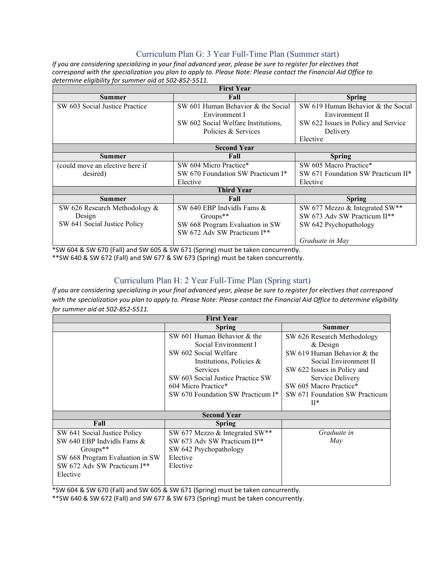## Curriculum Plan G: 3 Year Full-Time Plan (Summer start)

*If you are considering specializing in your final advanced year, please be sure to register for electives that correspond with the specialization you plan to apply to. Please Note: Please contact the Financial Aid Office to determine eligibility for summer aid at 502-852-5511.*

| <b>First Year</b>               |                                     |                                     |  |
|---------------------------------|-------------------------------------|-------------------------------------|--|
| <b>Summer</b>                   | Fall                                | <b>Spring</b>                       |  |
| SW 603 Social Justice Practice  | SW 601 Human Behavior & the Social  | SW 619 Human Behavior & the Social  |  |
|                                 | Environment I                       | Environment II                      |  |
|                                 | SW 602 Social Welfare Institutions, | SW 622 Issues in Policy and Service |  |
|                                 | Policies & Services                 | Delivery                            |  |
|                                 |                                     | Elective                            |  |
| <b>Second Year</b>              |                                     |                                     |  |
| Summer                          | Fall                                | <b>Spring</b>                       |  |
| (could move an elective here if | SW 604 Micro Practice*              | SW 605 Macro Practice*              |  |
| desired)                        | SW 670 Foundation SW Practicum I*   | SW 671 Foundation SW Practicum II*  |  |
|                                 | Elective                            | Elective                            |  |
| <b>Third Year</b>               |                                     |                                     |  |
| Summer                          | Fall                                | <b>Spring</b>                       |  |
| SW 626 Research Methodology &   | SW 640 EBP Indvidls Fams $&$        | SW 677 Mezzo & Integrated SW**      |  |
| Design                          | $Groups**$                          | SW 673 Adv SW Practicum II**        |  |
| SW 641 Social Justice Policy    | SW 668 Program Evaluation in SW     | SW 642 Psychopathology              |  |
|                                 | SW 672 Adv SW Practicum I**         |                                     |  |
|                                 |                                     | Graduate in May                     |  |

\*SW 604 & SW 670 (Fall) and SW 605 & SW 671 (Spring) must be taken concurrently.

\*\*SW 640 & SW 672 (Fall) and SW 677 & SW 673 (Spring) must be taken concurrently.

## Curriculum Plan H: 2 Year Full-Time Plan (Spring start)

*If you are considering specializing in your final advanced year, please be sure to register for electives that correspond with the specialization you plan to apply to. Please Note: Please contact the Financial Aid Office to determine eligibility for summer aid at 502-852-5511.*

| <b>First Year</b>               |                                   |                                |  |
|---------------------------------|-----------------------------------|--------------------------------|--|
|                                 | <b>Spring</b>                     | Summer                         |  |
|                                 | SW 601 Human Behavior & the       | SW 626 Research Methodology    |  |
|                                 | Social Environment I              | & Design                       |  |
|                                 | SW 602 Social Welfare             | SW 619 Human Behavior & the    |  |
|                                 | Institutions, Policies &          | Social Environment II          |  |
|                                 | <b>Services</b>                   | SW 622 Issues in Policy and    |  |
|                                 | SW 603 Social Justice Practice SW | Service Delivery               |  |
|                                 | 604 Micro Practice*               | SW 605 Macro Practice*         |  |
|                                 | SW 670 Foundation SW Practicum I* | SW 671 Foundation SW Practicum |  |
|                                 |                                   | $\mathbf{H}^*$                 |  |
| <b>Second Year</b>              |                                   |                                |  |
| Fall                            | <b>Spring</b>                     |                                |  |
| SW 641 Social Justice Policy    | SW 677 Mezzo & Integrated SW**    | Graduate in                    |  |
| SW 640 EBP Indvidls Fams &      | SW 673 Adv SW Practicum II**      | May                            |  |
| $Groups**$                      | SW 642 Psychopathology            |                                |  |
| SW 668 Program Evaluation in SW | Elective                          |                                |  |
| SW 672 Adv SW Practicum I**     | Elective                          |                                |  |
| Elective                        |                                   |                                |  |
|                                 |                                   |                                |  |

\*SW 604 & SW 670 (Fall) and SW 605 & SW 671 (Spring) must be taken concurrently.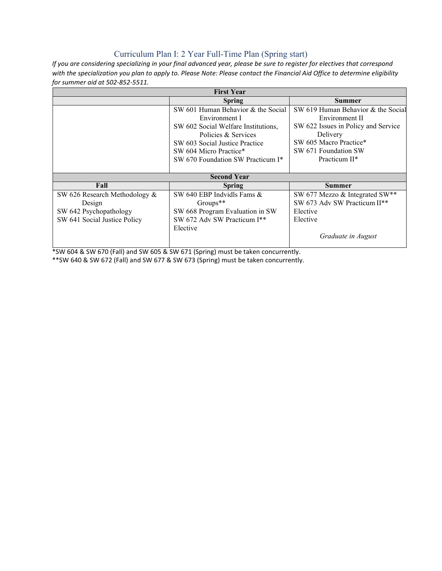## Curriculum Plan I: 2 Year Full-Time Plan (Spring start)

*If you are considering specializing in your final advanced year, please be sure to register for electives that correspond with the specialization you plan to apply to. Please Note: Please contact the Financial Aid Office to determine eligibility for summer aid at 502-852-5511.*

| <b>First Year</b>                |                                     |                                     |  |
|----------------------------------|-------------------------------------|-------------------------------------|--|
|                                  | <b>Spring</b>                       | Summer                              |  |
|                                  | SW 601 Human Behavior & the Social  | SW 619 Human Behavior & the Social  |  |
|                                  | Environment I                       | Environment II                      |  |
|                                  | SW 602 Social Welfare Institutions, | SW 622 Issues in Policy and Service |  |
|                                  | Policies & Services                 | Delivery                            |  |
|                                  | SW 603 Social Justice Practice      | SW 605 Macro Practice*              |  |
|                                  | SW 604 Micro Practice*              | SW 671 Foundation SW                |  |
|                                  | SW 670 Foundation SW Practicum I*   | Practicum II*                       |  |
|                                  |                                     |                                     |  |
| <b>Second Year</b>               |                                     |                                     |  |
| Fall                             | <b>Spring</b>                       | <b>Summer</b>                       |  |
| SW 626 Research Methodology $\&$ | SW 640 EBP Indvidls Fams $&$        | SW 677 Mezzo & Integrated SW**      |  |
| Design                           | Groups**                            | SW 673 Adv SW Practicum II**        |  |
| SW 642 Psychopathology           | SW 668 Program Evaluation in SW     | Elective                            |  |
| SW 641 Social Justice Policy     | SW 672 Adv SW Practicum I**         | Elective                            |  |
|                                  | Elective                            |                                     |  |
|                                  |                                     | Graduate in August                  |  |
|                                  |                                     |                                     |  |

\*SW 604 & SW 670 (Fall) and SW 605 & SW 671 (Spring) must be taken concurrently.